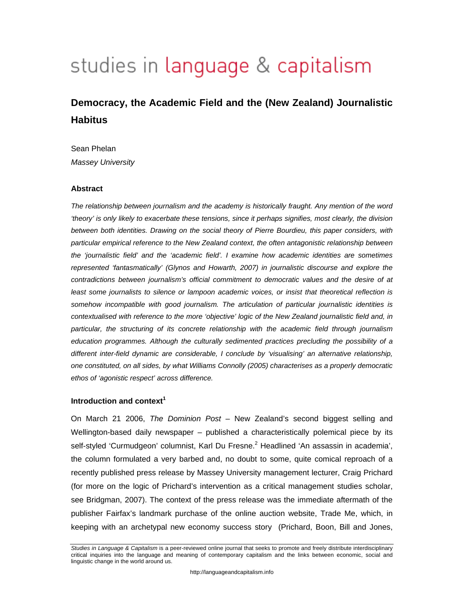# studies in language & capitalism

# **Democracy, the Academic Field and the (New Zealand) Journalistic Habitus**

Sean Phelan *Massey University* 

#### **Abstract**

*The relationship between journalism and the academy is historically fraught. Any mention of the word 'theory' is only likely to exacerbate these tensions, since it perhaps signifies, most clearly, the division between both identities. Drawing on the social theory of Pierre Bourdieu, this paper considers, with particular empirical reference to the New Zealand context, the often antagonistic relationship between the 'journalistic field' and the 'academic field'. I examine how academic identities are sometimes represented 'fantasmatically' (Glynos and Howarth, 2007) in journalistic discourse and explore the contradictions between journalism's official commitment to democratic values and the desire of at*  least some journalists to silence or lampoon academic voices, or insist that theoretical reflection is *somehow incompatible with good journalism. The articulation of particular journalistic identities is contextualised with reference to the more 'objective' logic of the New Zealand journalistic field and, in particular, the structuring of its concrete relationship with the academic field through journalism education programmes. Although the culturally sedimented practices precluding the possibility of a different inter-field dynamic are considerable, I conclude by 'visualising' an alternative relationship, one constituted, on all sides, by what Williams Connolly (2005) characterises as a properly democratic ethos of 'agonistic respect' across difference.* 

## **Introduction and context<sup>1</sup>**

On March 21 2006, *The Dominion Post* – New Zealand's second biggest selling and Wellington-based daily newspaper – published a characteristically polemical piece by its self-styled 'Curmudgeon' columnist, Karl Du Fresne.<sup>2</sup> Headlined 'An assassin in academia', the column formulated a very barbed and, no doubt to some, quite comical reproach of a recently published press release by Massey University management lecturer, Craig Prichard (for more on the logic of Prichard's intervention as a critical management studies scholar, see Bridgman, 2007). The context of the press release was the immediate aftermath of the publisher Fairfax's landmark purchase of the online auction website, Trade Me, which, in keeping with an archetypal new economy success story (Prichard, Boon, Bill and Jones,

*Studies in Language & Capitalism* is a peer-reviewed online journal that seeks to promote and freely distribute interdisciplinary critical inquiries into the language and meaning of contemporary capitalism and the links between economic, social and linguistic change in the world around us.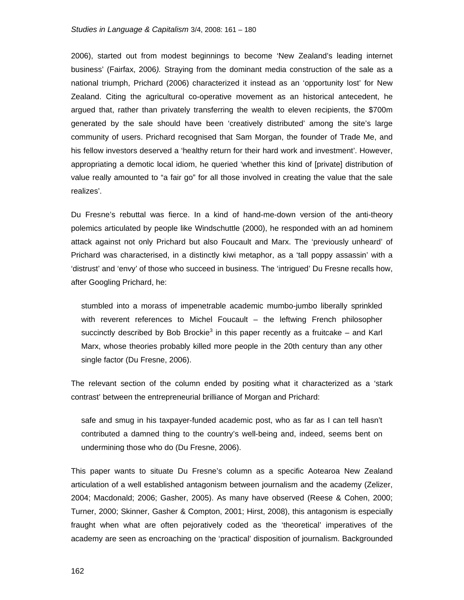#### *Studies in Language & Capitalism* 3/4, 2008: 161 – 180

2006), started out from modest beginnings to become 'New Zealand's leading internet business' (Fairfax, 2006*).* Straying from the dominant media construction of the sale as a national triumph, Prichard (2006) characterized it instead as an 'opportunity lost' for New Zealand. Citing the agricultural co-operative movement as an historical antecedent, he argued that, rather than privately transferring the wealth to eleven recipients, the \$700m generated by the sale should have been 'creatively distributed' among the site's large community of users. Prichard recognised that Sam Morgan, the founder of Trade Me, and his fellow investors deserved a 'healthy return for their hard work and investment'. However, appropriating a demotic local idiom, he queried 'whether this kind of [private] distribution of value really amounted to "a fair go" for all those involved in creating the value that the sale realizes'.

Du Fresne's rebuttal was fierce. In a kind of hand-me-down version of the anti-theory polemics articulated by people like Windschuttle (2000), he responded with an ad hominem attack against not only Prichard but also Foucault and Marx. The 'previously unheard' of Prichard was characterised, in a distinctly kiwi metaphor, as a 'tall poppy assassin' with a 'distrust' and 'envy' of those who succeed in business. The 'intrigued' Du Fresne recalls how, after Googling Prichard, he:

stumbled into a morass of impenetrable academic mumbo-jumbo liberally sprinkled with reverent references to Michel Foucault – the leftwing French philosopher succinctly described by Bob Brockie<sup>3</sup> in this paper recently as a fruitcake  $-$  and Karl Marx, whose theories probably killed more people in the 20th century than any other single factor (Du Fresne, 2006).

The relevant section of the column ended by positing what it characterized as a 'stark contrast' between the entrepreneurial brilliance of Morgan and Prichard:

safe and smug in his taxpayer-funded academic post, who as far as I can tell hasn't contributed a damned thing to the country's well-being and, indeed, seems bent on undermining those who do (Du Fresne, 2006).

This paper wants to situate Du Fresne's column as a specific Aotearoa New Zealand articulation of a well established antagonism between journalism and the academy (Zelizer, 2004; Macdonald; 2006; Gasher, 2005). As many have observed (Reese & Cohen, 2000; Turner, 2000; Skinner, Gasher & Compton, 2001; Hirst, 2008), this antagonism is especially fraught when what are often pejoratively coded as the 'theoretical' imperatives of the academy are seen as encroaching on the 'practical' disposition of journalism. Backgrounded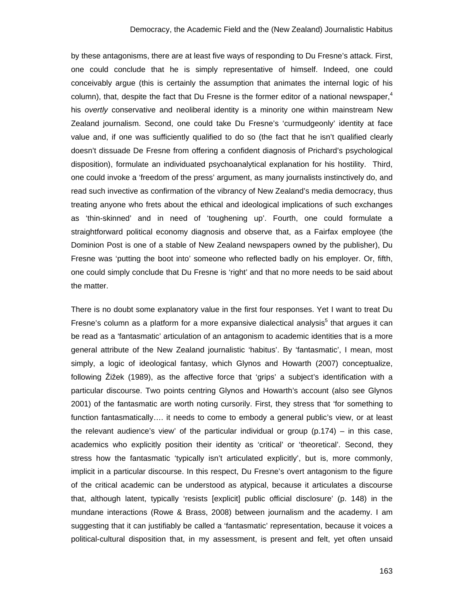by these antagonisms, there are at least five ways of responding to Du Fresne's attack. First, one could conclude that he is simply representative of himself. Indeed, one could conceivably argue (this is certainly the assumption that animates the internal logic of his column), that, despite the fact that Du Fresne is the former editor of a national newspaper,<sup>4</sup> his *overtly* conservative and neoliberal identity is a minority one within mainstream New Zealand journalism. Second, one could take Du Fresne's 'curmudgeonly' identity at face value and, if one was sufficiently qualified to do so (the fact that he isn't qualified clearly doesn't dissuade De Fresne from offering a confident diagnosis of Prichard's psychological disposition), formulate an individuated psychoanalytical explanation for his hostility. Third, one could invoke a 'freedom of the press' argument, as many journalists instinctively do, and read such invective as confirmation of the vibrancy of New Zealand's media democracy, thus treating anyone who frets about the ethical and ideological implications of such exchanges as 'thin-skinned' and in need of 'toughening up'. Fourth, one could formulate a straightforward political economy diagnosis and observe that, as a Fairfax employee (the Dominion Post is one of a stable of New Zealand newspapers owned by the publisher), Du Fresne was 'putting the boot into' someone who reflected badly on his employer. Or, fifth, one could simply conclude that Du Fresne is 'right' and that no more needs to be said about the matter.

There is no doubt some explanatory value in the first four responses. Yet I want to treat Du Fresne's column as a platform for a more expansive dialectical analysis<sup>5</sup> that argues it can be read as a 'fantasmatic' articulation of an antagonism to academic identities that is a more general attribute of the New Zealand journalistic 'habitus'. By 'fantasmatic', I mean, most simply, a logic of ideological fantasy, which Glynos and Howarth (2007) conceptualize, following Žižek (1989), as the affective force that 'grips' a subject's identification with a particular discourse. Two points centring Glynos and Howarth's account (also see Glynos 2001) of the fantasmatic are worth noting cursorily. First, they stress that 'for something to function fantasmatically…. it needs to come to embody a general public's view, or at least the relevant audience's view' of the particular individual or group (p.174) – in this case, academics who explicitly position their identity as 'critical' or 'theoretical'. Second, they stress how the fantasmatic 'typically isn't articulated explicitly', but is, more commonly, implicit in a particular discourse. In this respect, Du Fresne's overt antagonism to the figure of the critical academic can be understood as atypical, because it articulates a discourse that, although latent, typically 'resists [explicit] public official disclosure' (p. 148) in the mundane interactions (Rowe & Brass, 2008) between journalism and the academy. I am suggesting that it can justifiably be called a 'fantasmatic' representation, because it voices a political-cultural disposition that, in my assessment, is present and felt, yet often unsaid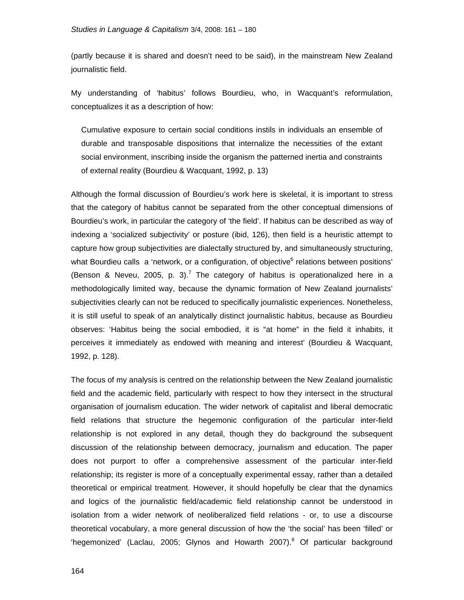(partly because it is shared and doesn't need to be said), in the mainstream New Zealand journalistic field.

My understanding of 'habitus' follows Bourdieu, who, in Wacquant's reformulation, conceptualizes it as a description of how:

Cumulative exposure to certain social conditions instils in individuals an ensemble of durable and transposable dispositions that internalize the necessities of the extant social environment, inscribing inside the organism the patterned inertia and constraints of external reality (Bourdieu & Wacquant, 1992, p. 13)

Although the formal discussion of Bourdieu's work here is skeletal, it is important to stress that the category of habitus cannot be separated from the other conceptual dimensions of Bourdieu's work, in particular the category of 'the field'. If habitus can be described as way of indexing a 'socialized subjectivity' or posture (ibid, 126), then field is a heuristic attempt to capture how group subjectivities are dialectally structured by, and simultaneously structuring, what Bourdieu calls a 'network, or a configuration, of objective<sup>6</sup> relations between positions' (Benson & Neveu, 2005, p. 3).<sup>7</sup> The category of habitus is operationalized here in a methodologically limited way, because the dynamic formation of New Zealand journalists' subjectivities clearly can not be reduced to specifically journalistic experiences. Nonetheless, it is still useful to speak of an analytically distinct journalistic habitus, because as Bourdieu observes: 'Habitus being the social embodied, it is "at home" in the field it inhabits, it perceives it immediately as endowed with meaning and interest' (Bourdieu & Wacquant, 1992, p. 128).

The focus of my analysis is centred on the relationship between the New Zealand journalistic field and the academic field, particularly with respect to how they intersect in the structural organisation of journalism education. The wider network of capitalist and liberal democratic field relations that structure the hegemonic configuration of the particular inter-field relationship is not explored in any detail, though they do background the subsequent discussion of the relationship between democracy, journalism and education. The paper does not purport to offer a comprehensive assessment of the particular inter-field relationship; its register is more of a conceptually experimental essay, rather than a detailed theoretical or empirical treatment. However, it should hopefully be clear that the dynamics and logics of the journalistic field/academic field relationship cannot be understood in isolation from a wider network of neoliberalized field relations - or, to use a discourse theoretical vocabulary, a more general discussion of how the 'the social' has been 'filled' or 'hegemonized' (Laclau, 2005; Glynos and Howarth 2007).<sup>8</sup> Of particular background

164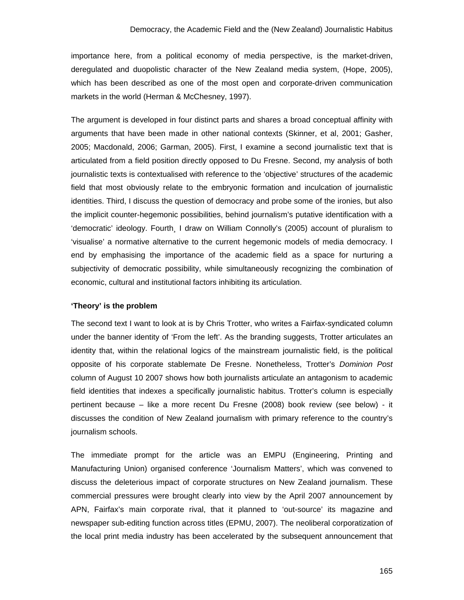importance here, from a political economy of media perspective, is the market-driven, deregulated and duopolistic character of the New Zealand media system, (Hope, 2005), which has been described as one of the most open and corporate-driven communication markets in the world (Herman & McChesney, 1997).

The argument is developed in four distinct parts and shares a broad conceptual affinity with arguments that have been made in other national contexts (Skinner, et al, 2001; Gasher, 2005; Macdonald, 2006; Garman, 2005). First, I examine a second journalistic text that is articulated from a field position directly opposed to Du Fresne. Second, my analysis of both journalistic texts is contextualised with reference to the 'objective' structures of the academic field that most obviously relate to the embryonic formation and inculcation of journalistic identities. Third, I discuss the question of democracy and probe some of the ironies, but also the implicit counter-hegemonic possibilities, behind journalism's putative identification with a 'democratic' ideology. Fourth¸ I draw on William Connolly's (2005) account of pluralism to 'visualise' a normative alternative to the current hegemonic models of media democracy. I end by emphasising the importance of the academic field as a space for nurturing a subjectivity of democratic possibility, while simultaneously recognizing the combination of economic, cultural and institutional factors inhibiting its articulation.

## **'Theory' is the problem**

The second text I want to look at is by Chris Trotter, who writes a Fairfax-syndicated column under the banner identity of 'From the left'. As the branding suggests, Trotter articulates an identity that, within the relational logics of the mainstream journalistic field, is the political opposite of his corporate stablemate De Fresne. Nonetheless, Trotter's *Dominion Post* column of August 10 2007 shows how both journalists articulate an antagonism to academic field identities that indexes a specifically journalistic habitus. Trotter's column is especially pertinent because – like a more recent Du Fresne (2008) book review (see below) - it discusses the condition of New Zealand journalism with primary reference to the country's journalism schools.

The immediate prompt for the article was an EMPU (Engineering, Printing and Manufacturing Union) organised conference 'Journalism Matters', which was convened to discuss the deleterious impact of corporate structures on New Zealand journalism. These commercial pressures were brought clearly into view by the April 2007 announcement by APN, Fairfax's main corporate rival, that it planned to 'out-source' its magazine and newspaper sub-editing function across titles (EPMU, 2007). The neoliberal corporatization of the local print media industry has been accelerated by the subsequent announcement that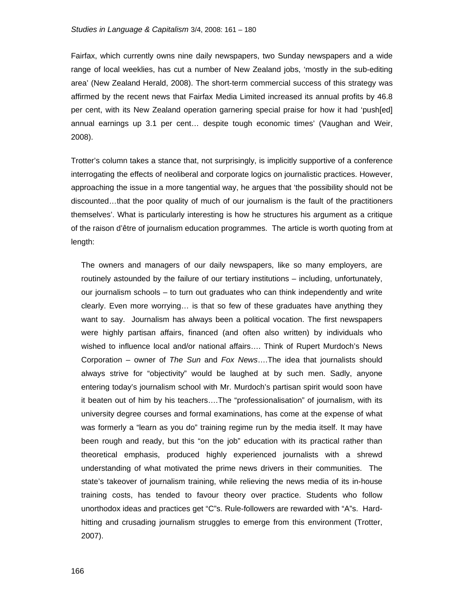Fairfax, which currently owns nine daily newspapers, two Sunday newspapers and a wide range of local weeklies, has cut a number of New Zealand jobs, 'mostly in the sub-editing area' (New Zealand Herald, 2008). The short-term commercial success of this strategy was affirmed by the recent news that Fairfax Media Limited increased its annual profits by 46.8 per cent, with its New Zealand operation garnering special praise for how it had 'push[ed] annual earnings up 3.1 per cent… despite tough economic times' (Vaughan and Weir, 2008).

Trotter's column takes a stance that, not surprisingly, is implicitly supportive of a conference interrogating the effects of neoliberal and corporate logics on journalistic practices. However, approaching the issue in a more tangential way, he argues that 'the possibility should not be discounted…that the poor quality of much of our journalism is the fault of the practitioners themselves'. What is particularly interesting is how he structures his argument as a critique of the raison d'être of journalism education programmes. The article is worth quoting from at length:

The owners and managers of our daily newspapers, like so many employers, are routinely astounded by the failure of our tertiary institutions – including, unfortunately, our journalism schools – to turn out graduates who can think independently and write clearly. Even more worrying… is that so few of these graduates have anything they want to say. Journalism has always been a political vocation. The first newspapers were highly partisan affairs, financed (and often also written) by individuals who wished to influence local and/or national affairs…. Think of Rupert Murdoch's News Corporation – owner of *The Sun* and *Fox News*….The idea that journalists should always strive for "objectivity" would be laughed at by such men. Sadly, anyone entering today's journalism school with Mr. Murdoch's partisan spirit would soon have it beaten out of him by his teachers….The "professionalisation" of journalism, with its university degree courses and formal examinations, has come at the expense of what was formerly a "learn as you do" training regime run by the media itself. It may have been rough and ready, but this "on the job" education with its practical rather than theoretical emphasis, produced highly experienced journalists with a shrewd understanding of what motivated the prime news drivers in their communities. The state's takeover of journalism training, while relieving the news media of its in-house training costs, has tended to favour theory over practice. Students who follow unorthodox ideas and practices get "C"s. Rule-followers are rewarded with "A"s. Hardhitting and crusading journalism struggles to emerge from this environment (Trotter, 2007).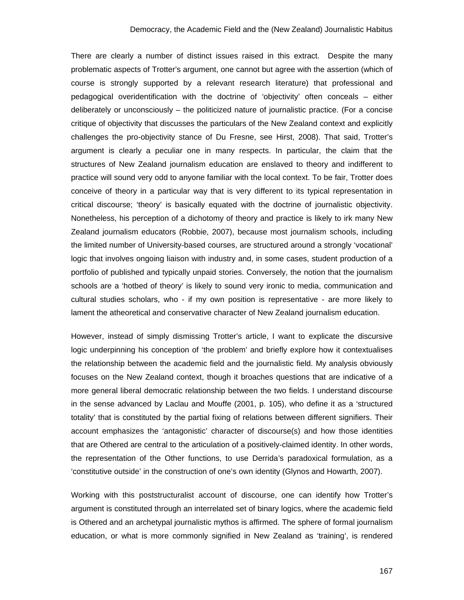There are clearly a number of distinct issues raised in this extract. Despite the many problematic aspects of Trotter's argument, one cannot but agree with the assertion (which of course is strongly supported by a relevant research literature) that professional and pedagogical overidentification with the doctrine of 'objectivity' often conceals – either deliberately or unconsciously – the politicized nature of journalistic practice. (For a concise critique of objectivity that discusses the particulars of the New Zealand context and explicitly challenges the pro-objectivity stance of Du Fresne, see Hirst, 2008). That said, Trotter's argument is clearly a peculiar one in many respects. In particular, the claim that the structures of New Zealand journalism education are enslaved to theory and indifferent to practice will sound very odd to anyone familiar with the local context. To be fair, Trotter does conceive of theory in a particular way that is very different to its typical representation in critical discourse; 'theory' is basically equated with the doctrine of journalistic objectivity. Nonetheless, his perception of a dichotomy of theory and practice is likely to irk many New Zealand journalism educators (Robbie, 2007), because most journalism schools, including the limited number of University-based courses, are structured around a strongly 'vocational' logic that involves ongoing liaison with industry and, in some cases, student production of a portfolio of published and typically unpaid stories. Conversely, the notion that the journalism schools are a 'hotbed of theory' is likely to sound very ironic to media, communication and cultural studies scholars, who - if my own position is representative - are more likely to lament the atheoretical and conservative character of New Zealand journalism education.

However, instead of simply dismissing Trotter's article, I want to explicate the discursive logic underpinning his conception of 'the problem' and briefly explore how it contextualises the relationship between the academic field and the journalistic field. My analysis obviously focuses on the New Zealand context, though it broaches questions that are indicative of a more general liberal democratic relationship between the two fields. I understand discourse in the sense advanced by Laclau and Mouffe (2001, p. 105), who define it as a 'structured totality' that is constituted by the partial fixing of relations between different signifiers. Their account emphasizes the 'antagonistic' character of discourse(s) and how those identities that are Othered are central to the articulation of a positively-claimed identity. In other words, the representation of the Other functions, to use Derrida's paradoxical formulation, as a 'constitutive outside' in the construction of one's own identity (Glynos and Howarth, 2007).

Working with this poststructuralist account of discourse, one can identify how Trotter's argument is constituted through an interrelated set of binary logics, where the academic field is Othered and an archetypal journalistic mythos is affirmed. The sphere of formal journalism education, or what is more commonly signified in New Zealand as 'training', is rendered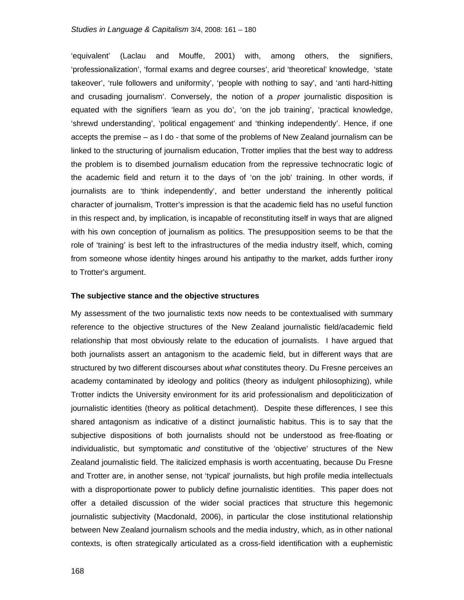'equivalent' (Laclau and Mouffe, 2001) with, among others, the signifiers, 'professionalization', 'formal exams and degree courses', arid 'theoretical' knowledge, 'state takeover', 'rule followers and uniformity', 'people with nothing to say', and 'anti hard-hitting and crusading journalism'. Conversely, the notion of a *proper* journalistic disposition is equated with the signifiers 'learn as you do', 'on the job training', 'practical knowledge, 'shrewd understanding', 'political engagement' and 'thinking independently'. Hence, if one accepts the premise – as I do - that some of the problems of New Zealand journalism can be linked to the structuring of journalism education, Trotter implies that the best way to address the problem is to disembed journalism education from the repressive technocratic logic of the academic field and return it to the days of 'on the job' training. In other words, if journalists are to 'think independently', and better understand the inherently political character of journalism, Trotter's impression is that the academic field has no useful function in this respect and, by implication, is incapable of reconstituting itself in ways that are aligned with his own conception of journalism as politics. The presupposition seems to be that the role of 'training' is best left to the infrastructures of the media industry itself, which, coming from someone whose identity hinges around his antipathy to the market, adds further irony to Trotter's argument.

#### **The subjective stance and the objective structures**

My assessment of the two journalistic texts now needs to be contextualised with summary reference to the objective structures of the New Zealand journalistic field/academic field relationship that most obviously relate to the education of journalists. I have argued that both journalists assert an antagonism to the academic field, but in different ways that are structured by two different discourses about *what* constitutes theory. Du Fresne perceives an academy contaminated by ideology and politics (theory as indulgent philosophizing), while Trotter indicts the University environment for its arid professionalism and depoliticization of journalistic identities (theory as political detachment). Despite these differences, I see this shared antagonism as indicative of a distinct journalistic habitus. This is to say that the subjective dispositions of both journalists should not be understood as free-floating or individualistic, but symptomatic *and* constitutive of the 'objective' structures of the New Zealand journalistic field. The italicized emphasis is worth accentuating, because Du Fresne and Trotter are, in another sense, not 'typical' journalists, but high profile media intellectuals with a disproportionate power to publicly define journalistic identities. This paper does not offer a detailed discussion of the wider social practices that structure this hegemonic journalistic subjectivity (Macdonald, 2006), in particular the close institutional relationship between New Zealand journalism schools and the media industry, which, as in other national contexts, is often strategically articulated as a cross-field identification with a euphemistic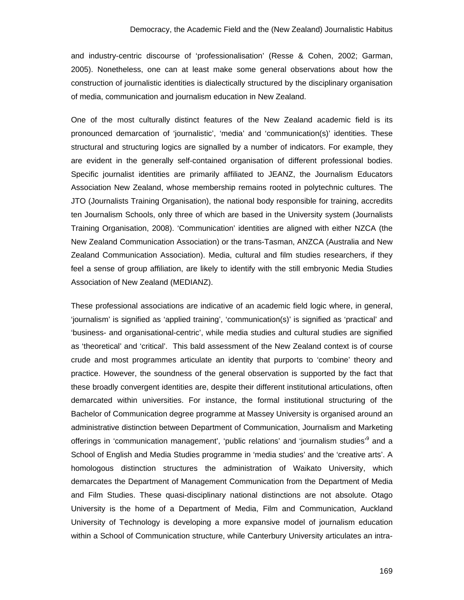and industry-centric discourse of 'professionalisation' (Resse & Cohen, 2002; Garman, 2005). Nonetheless, one can at least make some general observations about how the construction of journalistic identities is dialectically structured by the disciplinary organisation of media, communication and journalism education in New Zealand.

One of the most culturally distinct features of the New Zealand academic field is its pronounced demarcation of 'journalistic', 'media' and 'communication(s)' identities. These structural and structuring logics are signalled by a number of indicators. For example, they are evident in the generally self-contained organisation of different professional bodies. Specific journalist identities are primarily affiliated to JEANZ, the Journalism Educators Association New Zealand, whose membership remains rooted in polytechnic cultures. The JTO (Journalists Training Organisation), the national body responsible for training, accredits ten Journalism Schools, only three of which are based in the University system (Journalists Training Organisation, 2008). 'Communication' identities are aligned with either NZCA (the New Zealand Communication Association) or the trans-Tasman, ANZCA (Australia and New Zealand Communication Association). Media, cultural and film studies researchers, if they feel a sense of group affiliation, are likely to identify with the still embryonic Media Studies Association of New Zealand (MEDIANZ).

These professional associations are indicative of an academic field logic where, in general, 'journalism' is signified as 'applied training', 'communication(s)' is signified as 'practical' and 'business- and organisational-centric', while media studies and cultural studies are signified as 'theoretical' and 'critical'. This bald assessment of the New Zealand context is of course crude and most programmes articulate an identity that purports to 'combine' theory and practice. However, the soundness of the general observation is supported by the fact that these broadly convergent identities are, despite their different institutional articulations, often demarcated within universities. For instance, the formal institutional structuring of the Bachelor of Communication degree programme at Massey University is organised around an administrative distinction between Department of Communication, Journalism and Marketing offerings in 'communication management', 'public relations' and 'journalism studies'<sup>9</sup> and a School of English and Media Studies programme in 'media studies' and the 'creative arts'. A homologous distinction structures the administration of Waikato University, which demarcates the Department of Management Communication from the Department of Media and Film Studies. These quasi-disciplinary national distinctions are not absolute. Otago University is the home of a Department of Media, Film and Communication, Auckland University of Technology is developing a more expansive model of journalism education within a School of Communication structure, while Canterbury University articulates an intra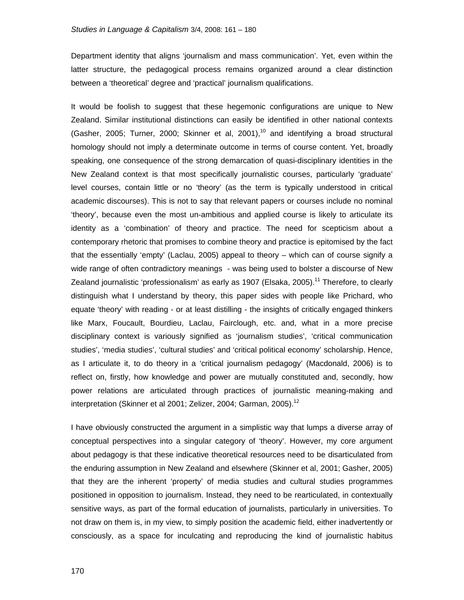Department identity that aligns 'journalism and mass communication'. Yet, even within the latter structure, the pedagogical process remains organized around a clear distinction between a 'theoretical' degree and 'practical' journalism qualifications.

It would be foolish to suggest that these hegemonic configurations are unique to New Zealand. Similar institutional distinctions can easily be identified in other national contexts (Gasher, 2005; Turner, 2000; Skinner et al, 2001),<sup>10</sup> and identifying a broad structural homology should not imply a determinate outcome in terms of course content. Yet, broadly speaking, one consequence of the strong demarcation of quasi-disciplinary identities in the New Zealand context is that most specifically journalistic courses, particularly 'graduate' level courses, contain little or no 'theory' (as the term is typically understood in critical academic discourses). This is not to say that relevant papers or courses include no nominal 'theory', because even the most un-ambitious and applied course is likely to articulate its identity as a 'combination' of theory and practice. The need for scepticism about a contemporary rhetoric that promises to combine theory and practice is epitomised by the fact that the essentially 'empty' (Laclau, 2005) appeal to theory – which can of course signify a wide range of often contradictory meanings - was being used to bolster a discourse of New Zealand journalistic 'professionalism' as early as 1907 (Elsaka, 2005).<sup>11</sup> Therefore, to clearly distinguish what I understand by theory, this paper sides with people like Prichard, who equate 'theory' with reading - or at least distilling - the insights of critically engaged thinkers like Marx, Foucault, Bourdieu, Laclau, Fairclough, etc. and, what in a more precise disciplinary context is variously signified as 'journalism studies', 'critical communication studies', 'media studies', 'cultural studies' and 'critical political economy' scholarship. Hence, as I articulate it, to do theory in a 'critical journalism pedagogy' (Macdonald, 2006) is to reflect on, firstly, how knowledge and power are mutually constituted and, secondly, how power relations are articulated through practices of journalistic meaning-making and interpretation (Skinner et al 2001; Zelizer, 2004; Garman, 2005).<sup>12</sup>

I have obviously constructed the argument in a simplistic way that lumps a diverse array of conceptual perspectives into a singular category of 'theory'. However, my core argument about pedagogy is that these indicative theoretical resources need to be disarticulated from the enduring assumption in New Zealand and elsewhere (Skinner et al, 2001; Gasher, 2005) that they are the inherent 'property' of media studies and cultural studies programmes positioned in opposition to journalism. Instead, they need to be rearticulated, in contextually sensitive ways, as part of the formal education of journalists, particularly in universities. To not draw on them is, in my view, to simply position the academic field, either inadvertently or consciously, as a space for inculcating and reproducing the kind of journalistic habitus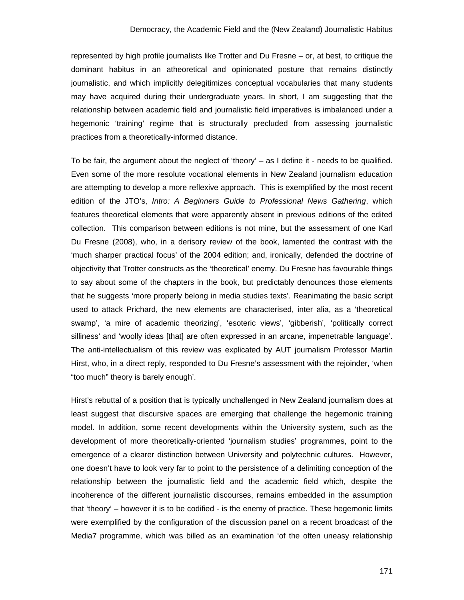represented by high profile journalists like Trotter and Du Fresne – or, at best, to critique the dominant habitus in an atheoretical and opinionated posture that remains distinctly journalistic, and which implicitly delegitimizes conceptual vocabularies that many students may have acquired during their undergraduate years. In short, I am suggesting that the relationship between academic field and journalistic field imperatives is imbalanced under a hegemonic 'training' regime that is structurally precluded from assessing journalistic practices from a theoretically-informed distance.

To be fair, the argument about the neglect of 'theory' – as I define it - needs to be qualified. Even some of the more resolute vocational elements in New Zealand journalism education are attempting to develop a more reflexive approach. This is exemplified by the most recent edition of the JTO's, *Intro: A Beginners Guide to Professional News Gathering*, which features theoretical elements that were apparently absent in previous editions of the edited collection. This comparison between editions is not mine, but the assessment of one Karl Du Fresne (2008), who, in a derisory review of the book, lamented the contrast with the 'much sharper practical focus' of the 2004 edition; and, ironically, defended the doctrine of objectivity that Trotter constructs as the 'theoretical' enemy. Du Fresne has favourable things to say about some of the chapters in the book, but predictably denounces those elements that he suggests 'more properly belong in media studies texts'. Reanimating the basic script used to attack Prichard, the new elements are characterised, inter alia, as a 'theoretical swamp', 'a mire of academic theorizing', 'esoteric views', 'gibberish', 'politically correct silliness' and 'woolly ideas [that] are often expressed in an arcane, impenetrable language'. The anti-intellectualism of this review was explicated by AUT journalism Professor Martin Hirst, who, in a direct reply, responded to Du Fresne's assessment with the rejoinder, 'when "too much" theory is barely enough'.

Hirst's rebuttal of a position that is typically unchallenged in New Zealand journalism does at least suggest that discursive spaces are emerging that challenge the hegemonic training model. In addition, some recent developments within the University system, such as the development of more theoretically-oriented 'journalism studies' programmes, point to the emergence of a clearer distinction between University and polytechnic cultures. However, one doesn't have to look very far to point to the persistence of a delimiting conception of the relationship between the journalistic field and the academic field which, despite the incoherence of the different journalistic discourses, remains embedded in the assumption that 'theory' – however it is to be codified - is the enemy of practice. These hegemonic limits were exemplified by the configuration of the discussion panel on a recent broadcast of the Media7 programme, which was billed as an examination 'of the often uneasy relationship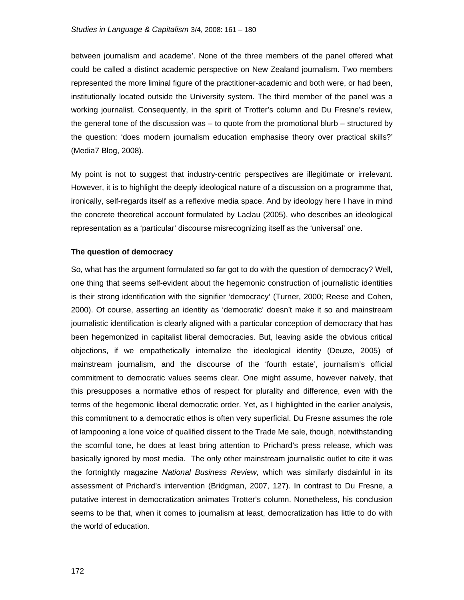between journalism and academe'. None of the three members of the panel offered what could be called a distinct academic perspective on New Zealand journalism. Two members represented the more liminal figure of the practitioner-academic and both were, or had been, institutionally located outside the University system. The third member of the panel was a working journalist. Consequently, in the spirit of Trotter's column and Du Fresne's review, the general tone of the discussion was – to quote from the promotional blurb – structured by the question: 'does modern journalism education emphasise theory over practical skills?' (Media7 Blog, 2008).

My point is not to suggest that industry-centric perspectives are illegitimate or irrelevant. However, it is to highlight the deeply ideological nature of a discussion on a programme that, ironically, self-regards itself as a reflexive media space. And by ideology here I have in mind the concrete theoretical account formulated by Laclau (2005), who describes an ideological representation as a 'particular' discourse misrecognizing itself as the 'universal' one.

# **The question of democracy**

So, what has the argument formulated so far got to do with the question of democracy? Well, one thing that seems self-evident about the hegemonic construction of journalistic identities is their strong identification with the signifier 'democracy' (Turner, 2000; Reese and Cohen, 2000). Of course, asserting an identity as 'democratic' doesn't make it so and mainstream journalistic identification is clearly aligned with a particular conception of democracy that has been hegemonized in capitalist liberal democracies. But, leaving aside the obvious critical objections, if we empathetically internalize the ideological identity (Deuze, 2005) of mainstream journalism, and the discourse of the 'fourth estate', journalism's official commitment to democratic values seems clear. One might assume, however naively, that this presupposes a normative ethos of respect for plurality and difference, even with the terms of the hegemonic liberal democratic order. Yet, as I highlighted in the earlier analysis, this commitment to a democratic ethos is often very superficial. Du Fresne assumes the role of lampooning a lone voice of qualified dissent to the Trade Me sale, though, notwithstanding the scornful tone, he does at least bring attention to Prichard's press release, which was basically ignored by most media. The only other mainstream journalistic outlet to cite it was the fortnightly magazine *National Business Review*, which was similarly disdainful in its assessment of Prichard's intervention (Bridgman, 2007, 127). In contrast to Du Fresne, a putative interest in democratization animates Trotter's column. Nonetheless, his conclusion seems to be that, when it comes to journalism at least, democratization has little to do with the world of education.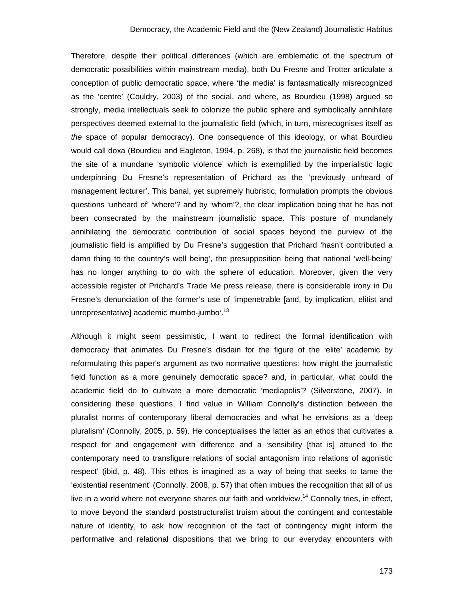Therefore, despite their political differences (which are emblematic of the spectrum of democratic possibilities within mainstream media), both Du Fresne and Trotter articulate a conception of public democratic space, where 'the media' is fantasmatically misrecognized as the 'centre' (Couldry, 2003) of the social, and where, as Bourdieu (1998) argued so strongly, media intellectuals seek to colonize the public sphere and symbolically annihilate perspectives deemed external to the journalistic field (which, in turn, misrecognises itself as *the* space of popular democracy). One consequence of this ideology, or what Bourdieu would call doxa (Bourdieu and Eagleton, 1994, p. 268), is that the journalistic field becomes the site of a mundane 'symbolic violence' which is exemplified by the imperialistic logic underpinning Du Fresne's representation of Prichard as the 'previously unheard of management lecturer'. This banal, yet supremely hubristic, formulation prompts the obvious questions 'unheard of' 'where'? and by 'whom'?, the clear implication being that he has not been consecrated by the mainstream journalistic space. This posture of mundanely annihilating the democratic contribution of social spaces beyond the purview of the journalistic field is amplified by Du Fresne's suggestion that Prichard 'hasn't contributed a damn thing to the country's well being', the presupposition being that national 'well-being' has no longer anything to do with the sphere of education. Moreover, given the very accessible register of Prichard's Trade Me press release, there is considerable irony in Du Fresne's denunciation of the former's use of 'impenetrable [and, by implication, elitist and unrepresentative] academic mumbo-jumbo'.<sup>13</sup>

Although it might seem pessimistic, I want to redirect the formal identification with democracy that animates Du Fresne's disdain for the figure of the 'elite' academic by reformulating this paper's argument as two normative questions: how might the journalistic field function as a more genuinely democratic space? and, in particular, what could the academic field do to cultivate a more democratic 'mediapolis'? (Silverstone, 2007). In considering these questions, I find value in William Connolly's distinction between the pluralist norms of contemporary liberal democracies and what he envisions as a 'deep pluralism' (Connolly, 2005, p. 59). He conceptualises the latter as an ethos that cultivates a respect for and engagement with difference and a 'sensibility [that is] attuned to the contemporary need to transfigure relations of social antagonism into relations of agonistic respect' (ibid, p. 48). This ethos is imagined as a way of being that seeks to tame the 'existential resentment' (Connolly, 2008, p. 57) that often imbues the recognition that all of us live in a world where not everyone shares our faith and worldview.<sup>14</sup> Connolly tries, in effect, to move beyond the standard poststructuralist truism about the contingent and contestable nature of identity, to ask how recognition of the fact of contingency might inform the performative and relational dispositions that we bring to our everyday encounters with

173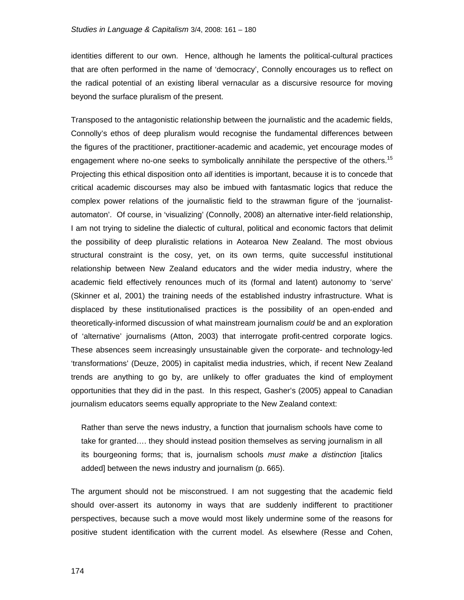identities different to our own. Hence, although he laments the political-cultural practices that are often performed in the name of 'democracy', Connolly encourages us to reflect on the radical potential of an existing liberal vernacular as a discursive resource for moving beyond the surface pluralism of the present.

Transposed to the antagonistic relationship between the journalistic and the academic fields, Connolly's ethos of deep pluralism would recognise the fundamental differences between the figures of the practitioner, practitioner-academic and academic, yet encourage modes of engagement where no-one seeks to symbolically annihilate the perspective of the others.<sup>15</sup> Projecting this ethical disposition onto *all* identities is important, because it is to concede that critical academic discourses may also be imbued with fantasmatic logics that reduce the complex power relations of the journalistic field to the strawman figure of the 'journalistautomaton'. Of course, in 'visualizing' (Connolly, 2008) an alternative inter-field relationship, I am not trying to sideline the dialectic of cultural, political and economic factors that delimit the possibility of deep pluralistic relations in Aotearoa New Zealand. The most obvious structural constraint is the cosy, yet, on its own terms, quite successful institutional relationship between New Zealand educators and the wider media industry, where the academic field effectively renounces much of its (formal and latent) autonomy to 'serve' (Skinner et al, 2001) the training needs of the established industry infrastructure. What is displaced by these institutionalised practices is the possibility of an open-ended and theoretically-informed discussion of what mainstream journalism *could* be and an exploration of 'alternative' journalisms (Atton, 2003) that interrogate profit-centred corporate logics. These absences seem increasingly unsustainable given the corporate- and technology-led 'transformations' (Deuze, 2005) in capitalist media industries, which, if recent New Zealand trends are anything to go by, are unlikely to offer graduates the kind of employment opportunities that they did in the past. In this respect, Gasher's (2005) appeal to Canadian journalism educators seems equally appropriate to the New Zealand context:

Rather than serve the news industry, a function that journalism schools have come to take for granted…. they should instead position themselves as serving journalism in all its bourgeoning forms; that is, journalism schools *must make a distinction* [italics added] between the news industry and journalism (p. 665).

The argument should not be misconstrued. I am not suggesting that the academic field should over-assert its autonomy in ways that are suddenly indifferent to practitioner perspectives, because such a move would most likely undermine some of the reasons for positive student identification with the current model. As elsewhere (Resse and Cohen,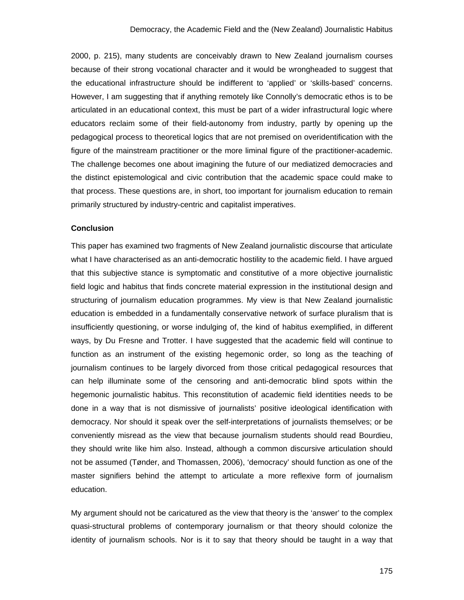2000, p. 215), many students are conceivably drawn to New Zealand journalism courses because of their strong vocational character and it would be wrongheaded to suggest that the educational infrastructure should be indifferent to 'applied' or 'skills-based' concerns. However, I am suggesting that if anything remotely like Connolly's democratic ethos is to be articulated in an educational context, this must be part of a wider infrastructural logic where educators reclaim some of their field-autonomy from industry, partly by opening up the pedagogical process to theoretical logics that are not premised on overidentification with the figure of the mainstream practitioner or the more liminal figure of the practitioner-academic. The challenge becomes one about imagining the future of our mediatized democracies and the distinct epistemological and civic contribution that the academic space could make to that process. These questions are, in short, too important for journalism education to remain primarily structured by industry-centric and capitalist imperatives.

#### **Conclusion**

This paper has examined two fragments of New Zealand journalistic discourse that articulate what I have characterised as an anti-democratic hostility to the academic field. I have argued that this subjective stance is symptomatic and constitutive of a more objective journalistic field logic and habitus that finds concrete material expression in the institutional design and structuring of journalism education programmes. My view is that New Zealand journalistic education is embedded in a fundamentally conservative network of surface pluralism that is insufficiently questioning, or worse indulging of, the kind of habitus exemplified, in different ways, by Du Fresne and Trotter. I have suggested that the academic field will continue to function as an instrument of the existing hegemonic order, so long as the teaching of journalism continues to be largely divorced from those critical pedagogical resources that can help illuminate some of the censoring and anti-democratic blind spots within the hegemonic journalistic habitus. This reconstitution of academic field identities needs to be done in a way that is not dismissive of journalists' positive ideological identification with democracy. Nor should it speak over the self-interpretations of journalists themselves; or be conveniently misread as the view that because journalism students should read Bourdieu, they should write like him also. Instead, although a common discursive articulation should not be assumed (Tønder, and Thomassen, 2006), 'democracy' should function as one of the master signifiers behind the attempt to articulate a more reflexive form of journalism education.

My argument should not be caricatured as the view that theory is the 'answer' to the complex quasi-structural problems of contemporary journalism or that theory should colonize the identity of journalism schools. Nor is it to say that theory should be taught in a way that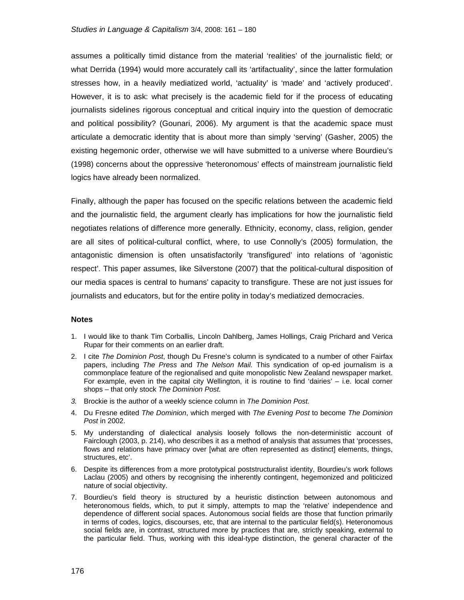assumes a politically timid distance from the material 'realities' of the journalistic field; or what Derrida (1994) would more accurately call its 'artifactuality', since the latter formulation stresses how, in a heavily mediatized world, 'actuality' is 'made' and 'actively produced'. However, it is to ask: what precisely is the academic field for if the process of educating journalists sidelines rigorous conceptual and critical inquiry into the question of democratic and political possibility? (Gounari, 2006). My argument is that the academic space must articulate a democratic identity that is about more than simply 'serving' (Gasher, 2005) the existing hegemonic order, otherwise we will have submitted to a universe where Bourdieu's (1998) concerns about the oppressive 'heteronomous' effects of mainstream journalistic field logics have already been normalized.

Finally, although the paper has focused on the specific relations between the academic field and the journalistic field, the argument clearly has implications for how the journalistic field negotiates relations of difference more generally. Ethnicity, economy, class, religion, gender are all sites of political-cultural conflict, where, to use Connolly's (2005) formulation, the antagonistic dimension is often unsatisfactorily 'transfigured' into relations of 'agonistic respect'. This paper assumes, like Silverstone (2007) that the political-cultural disposition of our media spaces is central to humans' capacity to transfigure. These are not just issues for journalists and educators, but for the entire polity in today's mediatized democracies.

#### **Notes**

- 1. I would like to thank Tim Corballis, Lincoln Dahlberg, James Hollings, Craig Prichard and Verica Rupar for their comments on an earlier draft.
- 2. I cite *The Dominion Post*, though Du Fresne's column is syndicated to a number of other Fairfax papers, including *The Press* and *The Nelson Mail.* This syndication of op-ed journalism is a commonplace feature of the regionalised and quite monopolistic New Zealand newspaper market. For example, even in the capital city Wellington, it is routine to find 'dairies' – i.e. local corner shops – that only stock *The Dominion Post.*
- *3.* Brockie is the author of a weekly science column in *The Dominion Post.*
- 4. Du Fresne edited *The Dominion*, which merged with *The Evening Post* to become *The Dominion Post* in 2002.
- 5. My understanding of dialectical analysis loosely follows the non-deterministic account of Fairclough (2003, p. 214), who describes it as a method of analysis that assumes that 'processes, flows and relations have primacy over [what are often represented as distinct] elements, things, structures, etc'.
- 6. Despite its differences from a more prototypical poststructuralist identity, Bourdieu's work follows Laclau (2005) and others by recognising the inherently contingent, hegemonized and politicized nature of social objectivity.
- 7. Bourdieu's field theory is structured by a heuristic distinction between autonomous and heteronomous fields, which, to put it simply, attempts to map the 'relative' independence and dependence of different social spaces. Autonomous social fields are those that function primarily in terms of codes, logics, discourses, etc, that are internal to the particular field(s). Heteronomous social fields are, in contrast, structured more by practices that are, strictly speaking, external to the particular field. Thus, working with this ideal-type distinction, the general character of the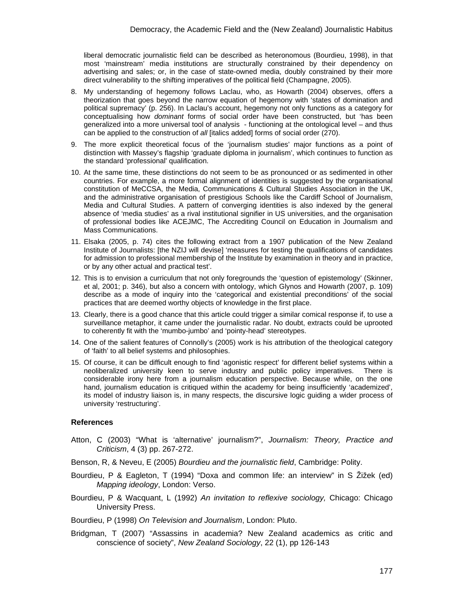liberal democratic journalistic field can be described as heteronomous (Bourdieu, 1998), in that most 'mainstream' media institutions are structurally constrained by their dependency on advertising and sales; or, in the case of state-owned media, doubly constrained by their more direct vulnerability to the shifting imperatives of the political field (Champagne, 2005).

- 8. My understanding of hegemony follows Laclau, who, as Howarth (2004) observes, offers a theorization that goes beyond the narrow equation of hegemony with 'states of domination and political supremacy' (p. 256). In Laclau's account, hegemony not only functions as a category for conceptualising how *dominant* forms of social order have been constructed, but 'has been generalized into a more universal tool of analysis - functioning at the ontological level – and thus can be applied to the construction of *all* [italics added] forms of social order (270).
- 9. The more explicit theoretical focus of the 'journalism studies' major functions as a point of distinction with Massey's flagship 'graduate diploma in journalism', which continues to function as the standard 'professional' qualification.
- 10. At the same time, these distinctions do not seem to be as pronounced or as sedimented in other countries. For example, a more formal alignment of identities is suggested by the organisational constitution of MeCCSA, the Media, Communications & Cultural Studies Association in the UK, and the administrative organisation of prestigious Schools like the Cardiff School of Journalism, Media and Cultural Studies. A pattern of converging identities is also indexed by the general absence of 'media studies' as a rival institutional signifier in US universities, and the organisation of professional bodies like ACEJMC, The Accrediting Council on Education in Journalism and Mass Communications.
- 11. Elsaka (2005, p. 74) cites the following extract from a 1907 publication of the New Zealand Institute of Journalists: [the NZIJ will devise] 'measures for testing the qualifications of candidates for admission to professional membership of the Institute by examination in theory and in practice, or by any other actual and practical test'.
- 12. This is to envision a curriculum that not only foregrounds the 'question of epistemology' (Skinner, et al, 2001; p. 346), but also a concern with ontology, which Glynos and Howarth (2007, p. 109) describe as a mode of inquiry into the 'categorical and existential preconditions' of the social practices that are deemed worthy objects of knowledge in the first place.
- 13. Clearly, there is a good chance that this article could trigger a similar comical response if, to use a surveillance metaphor, it came under the journalistic radar. No doubt, extracts could be uprooted to coherently fit with the 'mumbo-jumbo' and 'pointy-head' stereotypes.
- 14. One of the salient features of Connolly's (2005) work is his attribution of the theological category of 'faith' to all belief systems and philosophies.
- 15. Of course, it can be difficult enough to find 'agonistic respect' for different belief systems within a neoliberalized university keen to serve industry and public policy imperatives. There is considerable irony here from a journalism education perspective. Because while, on the one hand, journalism education is critiqued within the academy for being insufficiently 'academized', its model of industry liaison is, in many respects, the discursive logic guiding a wider process of university 'restructuring'.

## **References**

Atton, C (2003) "What is 'alternative' journalism?", *Journalism: Theory, Practice and Criticism*, 4 (3) pp. 267-272.

Benson, R, & Neveu, E (2005) *Bourdieu and the journalistic field*, Cambridge: Polity.

- Bourdieu, P & Eagleton, T (1994) "Doxa and common life: an interview" in S Žižek (ed) *Mapping ideology*, London: Verso.
- Bourdieu, P & Wacquant, L (1992) *An invitation to reflexive sociology,* Chicago: Chicago University Press.

Bourdieu, P (1998) *On Television and Journalism*, London: Pluto.

Bridgman, T (2007) "Assassins in academia? New Zealand academics as critic and conscience of society", *New Zealand Sociology*, 22 (1), pp 126-143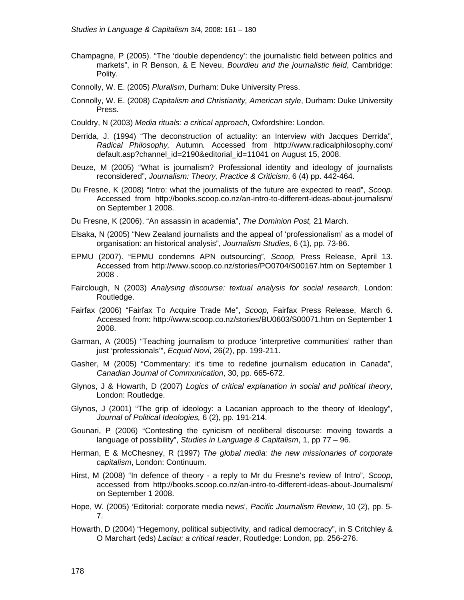- Champagne, P (2005). "The 'double dependency': the journalistic field between politics and markets", in R Benson, & E Neveu, *Bourdieu and the journalistic field*, Cambridge: Polity.
- Connolly, W. E. (2005) *Pluralism*, Durham: Duke University Press.
- Connolly, W. E. (2008) *Capitalism and Christianity, American style*, Durham: Duke University Press.
- Couldry, N (2003) *Media rituals: a critical approach*, Oxfordshire: London.
- Derrida, J. (1994) "The deconstruction of actuality: an Interview with Jacques Derrida", *Radical Philosophy,* Autumn*.* Accessed from http://www.radicalphilosophy.com/ default.asp?channel\_id=2190&editorial\_id=11041 on August 15, 2008.
- Deuze, M (2005) "What is journalism? Professional identity and ideology of journalists reconsidered", *Journalism: Theory, Practice & Criticism*, 6 (4) pp. 442-464.
- Du Fresne, K (2008) "Intro: what the journalists of the future are expected to read", *Scoop*. Accessed from http://books.scoop.co.nz/an-intro-to-different-ideas-about-journalism/ on September 1 2008.
- Du Fresne, K (2006). "An assassin in academia", *The Dominion Post,* 21 March.
- Elsaka, N (2005) "New Zealand journalists and the appeal of 'professionalism' as a model of organisation: an historical analysis", *Journalism Studies*, 6 (1), pp. 73-86.
- EPMU (2007). "EPMU condemns APN outsourcing", *Scoop,* Press Release, April 13. Accessed from http://www.scoop.co.nz/stories/PO0704/S00167.htm on September 1 2008 .
- Fairclough, N (2003) *Analysing discourse: textual analysis for social research*, London: Routledge.
- Fairfax (2006) "Fairfax To Acquire Trade Me", *Scoop,* Fairfax Press Release, March 6. Accessed from: http://www.scoop.co.nz/stories/BU0603/S00071.htm on September 1 2008.
- Garman, A (2005) "Teaching journalism to produce 'interpretive communities' rather than just 'professionals'", *Ecquid Novi*, 26(2), pp. 199-211.
- Gasher, M (2005) "Commentary: it's time to redefine journalism education in Canada", *Canadian Journal of Communication*, 30, pp. 665-672.
- Glynos, J & Howarth, D (2007) *Logics of critical explanation in social and political theory*, London: Routledge.
- Glynos, J (2001) "The grip of ideology: a Lacanian approach to the theory of Ideology", *Journal of Political Ideologies,* 6 (2), pp. 191-214.
- Gounari, P (2006) "Contesting the cynicism of neoliberal discourse: moving towards a language of possibility", *Studies in Language & Capitalism*, 1, pp 77 – 96.
- Herman, E & McChesney, R (1997) *The global media: the new missionaries of corporate capitalism*, London: Continuum.
- Hirst, M (2008) "In defence of theory a reply to Mr du Fresne's review of Intro", *Scoop*, accessed from http://books.scoop.co.nz/an-intro-to-different-ideas-about-Journalism/ on September 1 2008.
- Hope, W. (2005) 'Editorial: corporate media news', *Pacific Journalism Review*, 10 (2), pp. 5- 7.
- Howarth, D (2004) "Hegemony, political subjectivity, and radical democracy", in S Critchley & O Marchart (eds) *Laclau: a critical reader*, Routledge: London, pp. 256-276.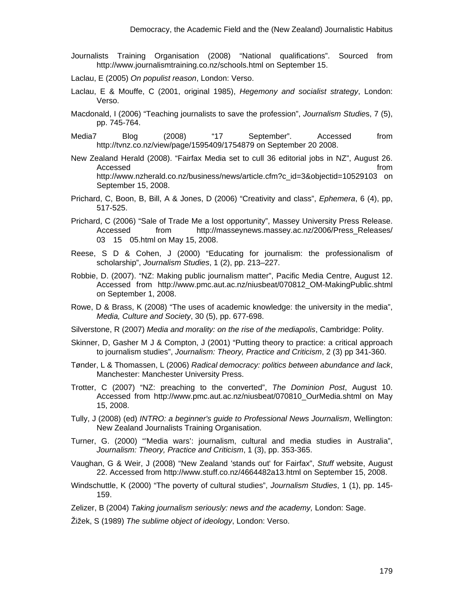- Journalists Training Organisation (2008) "National qualifications". Sourced from http://www.journalismtraining.co.nz/schools.html on September 15.
- Laclau, E (2005) *On populist reason*, London: Verso.
- Laclau, E & Mouffe, C (2001, original 1985), *Hegemony and socialist strategy*, London: Verso.
- Macdonald, I (2006) "Teaching journalists to save the profession", *Journalism Studie*s, 7 (5), pp. 745-764.
- Media7 Blog (2008) "17 September". Accessed from http://tvnz.co.nz/view/page/1595409/1754879 on September 20 2008.
- New Zealand Herald (2008). "Fairfax Media set to cull 36 editorial jobs in NZ", August 26. Accessed **from** the contract of the contract of the contract of the contract of the contract of the contract of the contract of the contract of the contract of the contract of the contract of the contract of the contract o http://www.nzherald.co.nz/business/news/article.cfm?c\_id=3&objectid=10529103 on September 15, 2008.
- Prichard, C, Boon, B, Bill, A & Jones, D (2006) "Creativity and class", *Ephemera*, 6 (4), pp, 517-525.
- Prichard, C (2006) "Sale of Trade Me a lost opportunity", Massey University Press Release. Accessed from http://masseynews.massey.ac.nz/2006/Press\_Releases/ 03 15 05.html on May 15, 2008.
- Reese, S D & Cohen, J (2000) "Educating for journalism: the professionalism of scholarship", *Journalism Studies*, 1 (2), pp. 213–227.
- Robbie, D. (2007). "NZ: Making public journalism matter", Pacific Media Centre, August 12. Accessed from http://www.pmc.aut.ac.nz/niusbeat/070812\_OM-MakingPublic.shtml on September 1, 2008.
- Rowe, D & Brass, K (2008) "The uses of academic knowledge: the university in the media", *Media, Culture and Society*, 30 (5), pp. 677-698.
- Silverstone, R (2007) *Media and morality: on the rise of the mediapolis*, Cambridge: Polity.
- Skinner, D, Gasher M J & Compton, J (2001) "Putting theory to practice: a critical approach to journalism studies", *Journalism: Theory, Practice and Criticism*, 2 (3) pp 341-360.
- Tønder, L & Thomassen, L (2006) *Radical democracy: politics between abundance and lack*, Manchester: Manchester University Press.
- Trotter, C (2007) "NZ: preaching to the converted", *The Dominion Post*, August 10. Accessed from http://www.pmc.aut.ac.nz/niusbeat/070810\_OurMedia.shtml on May 15, 2008.
- Tully, J (2008) (ed) *INTRO: a beginner's guide to Professional News Journalism*, Wellington: New Zealand Journalists Training Organisation.
- Turner, G. (2000) "'Media wars': journalism, cultural and media studies in Australia", *Journalism: Theory, Practice and Criticism*, 1 (3), pp. 353-365.
- Vaughan, G & Weir, J (2008) "New Zealand 'stands out' for Fairfax", *Stuff* website, August 22. Accessed from http://www.stuff.co.nz/4664482a13.html on September 15, 2008.
- Windschuttle, K (2000) "The poverty of cultural studies", *Journalism Studies*, 1 (1), pp. 145- 159.

Zelizer, B (2004) *Taking journalism seriously: news and the academy,* London: Sage.

Žižek, S (1989) *The sublime object of ideology*, London: Verso.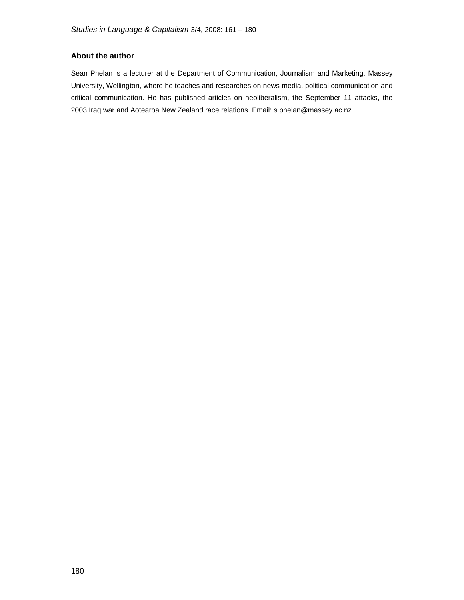# **About the author**

Sean Phelan is a lecturer at the Department of Communication, Journalism and Marketing, Massey University, Wellington, where he teaches and researches on news media, political communication and critical communication. He has published articles on neoliberalism, the September 11 attacks, the 2003 Iraq war and Aotearoa New Zealand race relations. Email: s.phelan@massey.ac.nz.